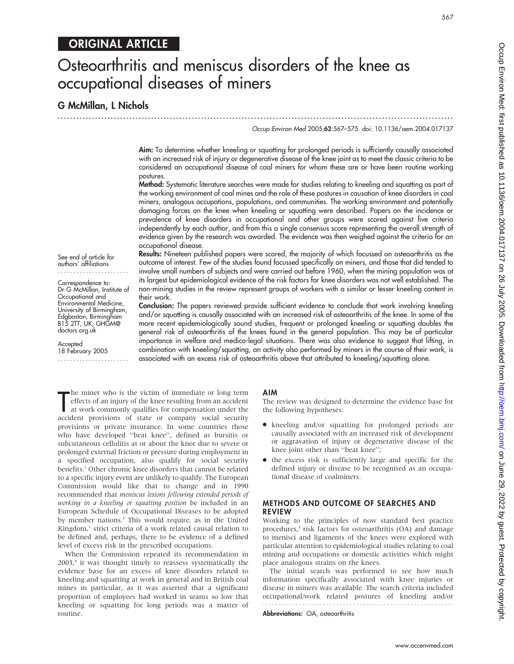567

# ORIGINAL ARTICLE

# Osteoarthritis and meniscus disorders of the knee as occupational diseases of miners

...............................................................................................................................

G McMillan, L Nichols

#### Occup Environ Med 2005;62:567–575. doi: 10.1136/oem.2004.017137

Aim: To determine whether kneeling or squatting for prolonged periods is sufficiently causally associated with an increased risk of injury or degenerative disease of the knee joint as to meet the classic criteria to be considered an occupational disease of coal miners for whom these are or have been routine working postures.

Method: Systematic literature searches were made for studies relating to kneeling and squatting as part of the working environment of coal mines and the role of these postures in causation of knee disorders in coal miners, analogous occupations, populations, and communities. The working environment and potentially damaging forces on the knee when kneeling or squatting were described. Papers on the incidence or prevalence of knee disorders in occupational and other groups were scored against five criteria independently by each author, and from this a single consensus score representing the overall strength of evidence given by the research was awarded. The evidence was then weighed against the criteria for an occupational disease.

Results: Nineteen published papers were scored, the majority of which focussed on osteoarthritis as the outcome of interest. Few of the studies found focussed specifically on miners, and those that did tended to involve small numbers of subjects and were carried out before 1960, when the mining population was at its largest but epidemiological evidence of the risk factors for knee disorders was not well established. The non-mining studies in the review represent groups of workers with a similar or lesser kneeling content in their work.

Conclusion: The papers reviewed provide sufficient evidence to conclude that work involving kneeling and/or squatting is causally associated with an increased risk of osteoarthritis of the knee. In some of the more recent epidemiologically sound studies, frequent or prolonged kneeling or squatting doubles the general risk of osteoarthritis of the knees found in the general population. This may be of particular importance in welfare and medico-legal situations. There was also evidence to suggest that lifting, in combination with kneeling/squatting, an activity also performed by miners in the course of their work, is associated with an excess risk of osteoarthritis above that attributed to kneeling/squatting alone.

See end of article for authors' affiliations .......................

Correspondence to: Dr G McMillan, Institute of Occupational and Environmental Medicine, University of Birmingham, Edgbaston, Birmingham B15 2TT, UK; GHGM@ doctors.org.uk

**Accepted** 18 February 2005 .......................

The miner who is the victim of immediate or long term<br>effects of an injury of the knee resulting from an accident<br>at work commonly qualifies for compensation under the<br>accident provisions of state or company social securit he miner who is the victim of immediate or long term effects of an injury of the knee resulting from an accident at work commonly qualifies for compensation under the provisions or private insurance. In some countries those who have developed ''beat knee'', defined as bursitis or subcutaneous cellulitis at or about the knee due to severe or prolonged external friction or pressure during employment in a specified occupation, also qualify for social security benefits.<sup>1</sup> Other chronic knee disorders that cannot be related to a specific injury event are unlikely to qualify. The European Commission would like that to change and in 1990 recommended that meniscus lesions following extended periods of working in a kneeling or squatting position be included in an European Schedule of Occupational Diseases to be adopted by member nations.2 This would require, as in the United Kingdom,<sup>3</sup> strict criteria of a work related causal relation to be defined and, perhaps, there to be evidence of a defined level of excess risk in the prescribed occupations.

When the Commission repeated its recommendation in 2003,<sup>4</sup> it was thought timely to reassess systematically the evidence base for an excess of knee disorders related to kneeling and squatting at work in general and in British coal mines in particular, as it was asserted that a significant proportion of employees had worked in seams so low that kneeling or squatting for long periods was a matter of routine.

#### AIM

The review was designed to determine the evidence base for the following hypotheses:

- $\bullet$  kneeling and/or squatting for prolonged periods are causally associated with an increased risk of development or aggravation of injury or degenerative disease of the knee joint other than ''beat knee'';
- the excess risk is sufficiently large and specific for the defined injury or disease to be recognised as an occupational disease of coalminers.

# METHODS AND OUTCOME OF SEARCHES AND REVIEW

Working to the principles of now standard best practice procedures,<sup>5</sup> risk factors for osteoarthritis (OA) and damage to menisci and ligaments of the knees were explored with particular attention to epidemiological studies relating to coal mining and occupations or domestic activities which might place analogous strains on the knees.

The initial search was performed to see how much information specifically associated with knee injuries or disease in miners was available. The search criteria included occupational/work related postures of kneeling and/or

Abbreviations: OA, osteoarthritis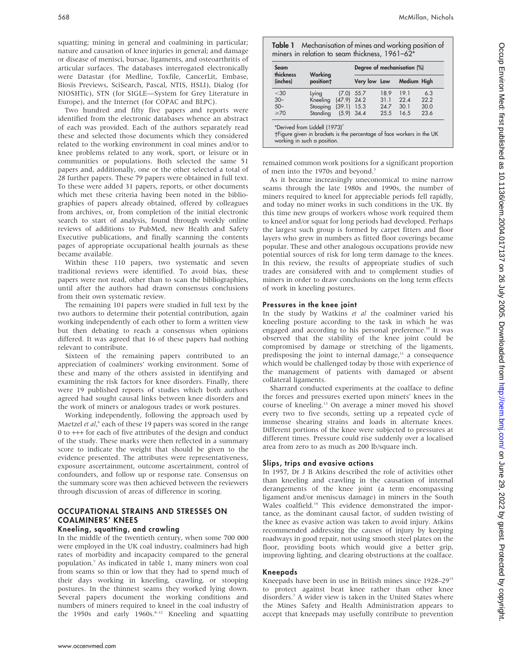squatting; mining in general and coalmining in particular; nature and causation of knee injuries in general; and damage or disease of menisci, bursae, ligaments, and osteoarthritis of articular surfaces. The databases interrogated electronically were Datastar (for Medline, Toxfile, CancerLit, Embase, Biosis Previews, SciSearch, Pascal, NTIS, HSLI), Dialog (for NIOSHTic), STN (for SIGLE—System for Grey Literature in Europe), and the Internet (for COPAC and BLPC).

Two hundred and fifty five papers and reports were identified from the electronic databases whence an abstract of each was provided. Each of the authors separately read these and selected those documents which they considered related to the working environment in coal mines and/or to knee problems related to any work, sport, or leisure or in communities or populations. Both selected the same 51 papers and, additionally, one or the other selected a total of 28 further papers. These 79 papers were obtained in full text. To these were added 31 papers, reports, or other documents which met these criteria having been noted in the bibliographies of papers already obtained, offered by colleagues from archives, or, from completion of the initial electronic search to start of analysis, found through weekly online reviews of additions to PubMed, new Health and Safety Executive publications, and finally scanning the contents pages of appropriate occupational health journals as these became available.

Within these 110 papers, two systematic and seven traditional reviews were identified. To avoid bias, these papers were not read, other than to scan the bibliographies, until after the authors had drawn consensus conclusions from their own systematic review.

The remaining 101 papers were studied in full text by the two authors to determine their potential contribution, again working independently of each other to form a written view but then debating to reach a consensus when opinions differed. It was agreed that 16 of these papers had nothing relevant to contribute.

Sixteen of the remaining papers contributed to an appreciation of coalminers' working environment. Some of these and many of the others assisted in identifying and examining the risk factors for knee disorders. Finally, there were 19 published reports of studies which both authors agreed had sought causal links between knee disorders and the work of miners or analogous trades or work postures.

Working independently, following the approach used by Maetzel et al,<sup>6</sup> each of these 19 papers was scored in the range 0 to +++ for each of five attributes of the design and conduct of the study. These marks were then reflected in a summary score to indicate the weight that should be given to the evidence presented. The attributes were representativeness, exposure ascertainment, outcome ascertainment, control of confounders, and follow up or response rate. Consensus on the summary score was then achieved between the reviewers through discussion of areas of difference in scoring.

# OCCUPATIONAL STRAINS AND STRESSES ON COALMINERS' KNEES

# Kneeling, squatting, and crawling

In the middle of the twentieth century, when some 700 000 were employed in the UK coal industry, coalminers had high rates of morbidity and incapacity compared to the general population.7 As indicated in table 1, many miners won coal from seams so thin or low that they had to spend much of their days working in kneeling, crawling, or stooping postures. In the thinnest seams they worked lying down. Several papers document the working conditions and numbers of miners required to kneel in the coal industry of the 1950s and early 1960s. $8-12$  Kneeling and squatting

| Seam<br>thickness<br>(inches) | Working             |               | Degree of mechanisation (%) |      |             |      |
|-------------------------------|---------------------|---------------|-----------------------------|------|-------------|------|
|                               | position†           |               | Very low Low                |      | Medium High |      |
| $<$ 30                        | Lying               | (7.0)         | 55.7                        | 18.9 | 19.1        | 6.3  |
| $30 -$                        | Kneeling            | (47.9)        | 24.2                        | 31.1 | 22.4        | 22.2 |
| $50 -$                        | Stooping            | $(39.1)$ 15.3 |                             | 24.7 | 30.1        | 30.0 |
| $\geq 70$                     | Standing (5.9) 34.4 |               |                             | 25.5 | 16.5        | 23.6 |

\*Derived from Liddell  $(1973)^7$ Figure given in brackets is the percentage of face workers in the UK

working in such a position.

remained common work positions for a significant proportion of men into the 1970s and beyond.7

As it became increasingly uneconomical to mine narrow seams through the late 1980s and 1990s, the number of miners required to kneel for appreciable periods fell rapidly, and today no miner works in such conditions in the UK. By this time new groups of workers whose work required them to kneel and/or squat for long periods had developed. Perhaps the largest such group is formed by carpet fitters and floor layers who grew in numbers as fitted floor coverings became popular. These and other analogous occupations provide new potential sources of risk for long term damage to the knees. In this review, the results of appropriate studies of such trades are considered with and to complement studies of miners in order to draw conclusions on the long term effects of work in kneeling postures.

# Pressures in the knee joint

In the study by Watkins et al the coalminer varied his kneeling posture according to the task in which he was engaged and according to his personal preference.<sup>10</sup> It was observed that the stability of the knee joint could be compromised by damage or stretching of the ligaments, predisposing the joint to internal damage,<sup>11</sup> a consequence which would be challenged today by those with experience of the management of patients with damaged or absent collateral ligaments.

Sharrard conducted experiments at the coalface to define the forces and pressures exerted upon miners' knees in the course of kneeling.13 On average a miner moved his shovel every two to five seconds, setting up a repeated cycle of immense shearing strains and loads in alternate knees. Different portions of the knee were subjected to pressures at different times. Pressure could rise suddenly over a localised area from zero to as much as 200 lb/square inch.

# Slips, trips and evasive actions

In 1957, Dr J B Atkins described the role of activities other than kneeling and crawling in the causation of internal derangements of the knee joint (a term encompassing ligament and/or meniscus damage) in miners in the South Wales coalfield.<sup>14</sup> This evidence demonstrated the importance, as the dominant causal factor, of sudden twisting of the knee as evasive action was taken to avoid injury. Atkins recommended addressing the causes of injury by keeping roadways in good repair, not using smooth steel plates on the floor, providing boots which would give a better grip, improving lighting, and clearing obstructions at the coalface.

# Kneepads

Kneepads have been in use in British mines since 1928–2915 to protect against beat knee rather than other knee disorders.7 A wider view is taken in the United States where the Mines Safety and Health Administration appears to accept that kneepads may usefully contribute to prevention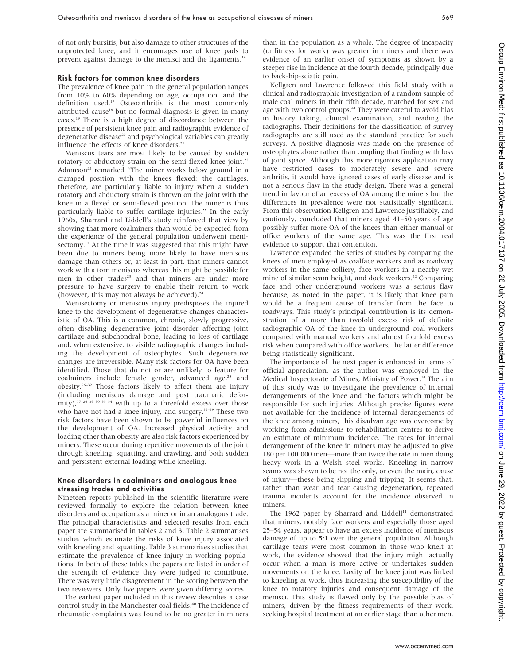of not only bursitis, but also damage to other structures of the unprotected knee, and it encourages use of knee pads to prevent against damage to the menisci and the ligaments.<sup>16</sup>

#### Risk factors for common knee disorders

The prevalence of knee pain in the general population ranges from 10% to 60% depending on age, occupation, and the definition used.17 Osteoarthritis is the most commonly attributed cause<sup>18</sup> but no formal diagnosis is given in many cases.19 There is a high degree of discordance between the presence of persistent knee pain and radiographic evidence of degenerative disease<sup>20</sup> and psychological variables can greatly influence the effects of knee disorders.<sup>21</sup>

Meniscus tears are most likely to be caused by sudden rotatory or abductory strain on the semi-flexed knee joint.<sup>22</sup> Adamson<sup>23</sup> remarked "The miner works below ground in a cramped position with the knees flexed; the cartilages, therefore, are particularly liable to injury when a sudden rotatory and abductory strain is thrown on the joint with the knee in a flexed or semi-flexed position. The miner is thus particularly liable to suffer cartilage injuries.'' In the early 1960s, Sharrard and Liddell's study reinforced that view by showing that more coalminers than would be expected from the experience of the general population underwent menisectomy.<sup>11</sup> At the time it was suggested that this might have been due to miners being more likely to have meniscus damage than others or, at least in part, that miners cannot work with a torn meniscus whereas this might be possible for men in other trades<sup>23</sup> and that miners are under more pressure to have surgery to enable their return to work (however, this may not always be achieved). $24$ 

Menisectomy or meniscus injury predisposes the injured knee to the development of degenerative changes characteristic of OA. This is a common, chronic, slowly progressive, often disabling degenerative joint disorder affecting joint cartilage and subchondral bone, leading to loss of cartilage and, when extensive, to visible radiographic changes including the development of osteophytes. Such degenerative changes are irreversible. Many risk factors for OA have been identified. Those that do not or are unlikely to feature for coalminers include female gender, advanced age, $25$  and obesity.26–32 Those factors likely to affect them are injury (including meniscus damage and post traumatic deformity),<sup>17 26 29 30 33 34</sup> with up to a threefold excess over those who have not had a knee injury, and surgery.<sup>35-39</sup> These two risk factors have been shown to be powerful influences on the development of OA. Increased physical activity and loading other than obesity are also risk factors experienced by miners. These occur during repetitive movements of the joint through kneeling, squatting, and crawling, and both sudden and persistent external loading while kneeling.

#### Knee disorders in coalminers and analogous knee stressing trades and activities

Nineteen reports published in the scientific literature were reviewed formally to explore the relation between knee disorders and occupation as a miner or in an analogous trade. The principal characteristics and selected results from each paper are summarised in tables 2 and 3. Table 2 summarises studies which estimate the risks of knee injury associated with kneeling and squatting. Table 3 summarises studies that estimate the prevalence of knee injury in working populations. In both of these tables the papers are listed in order of the strength of evidence they were judged to contribute. There was very little disagreement in the scoring between the two reviewers. Only five papers were given differing scores.

The earliest paper included in this review describes a case control study in the Manchester coal fields.<sup>40</sup> The incidence of rheumatic complaints was found to be no greater in miners

than in the population as a whole. The degree of incapacity (unfitness for work) was greater in miners and there was evidence of an earlier onset of symptoms as shown by a steeper rise in incidence at the fourth decade, principally due to back-hip-sciatic pain.

Kellgren and Lawrence followed this field study with a clinical and radiographic investigation of a random sample of male coal miners in their fifth decade, matched for sex and age with two control groups.<sup>41</sup> They were careful to avoid bias in history taking, clinical examination, and reading the radiographs. Their definitions for the classification of survey radiographs are still used as the standard practice for such surveys. A positive diagnosis was made on the presence of osteophytes alone rather than coupling that finding with loss of joint space. Although this more rigorous application may have restricted cases to moderately severe and severe arthritis, it would have ignored cases of early disease and is not a serious flaw in the study design. There was a general trend in favour of an excess of OA among the miners but the differences in prevalence were not statistically significant. From this observation Kellgren and Lawrence justifiably, and cautiously, concluded that miners aged 41–50 years of age possibly suffer more OA of the knees than either manual or office workers of the same age. This was the first real evidence to support that contention.

Lawrence expanded the series of studies by comparing the knees of men employed as coalface workers and as roadway workers in the same colliery, face workers in a nearby wet mine of similar seam height, and dock workers.<sup>42</sup> Comparing face and other underground workers was a serious flaw because, as noted in the paper, it is likely that knee pain would be a frequent cause of transfer from the face to roadways. This study's principal contribution is its demonstration of a more than twofold excess risk of definite radiographic OA of the knee in underground coal workers compared with manual workers and almost fourfold excess risk when compared with office workers, the latter difference being statistically significant.

The importance of the next paper is enhanced in terms of official appreciation, as the author was employed in the Medical Inspectorate of Mines, Ministry of Power.14 The aim of this study was to investigate the prevalence of internal derangements of the knee and the factors which might be responsible for such injuries. Although precise figures were not available for the incidence of internal derangements of the knee among miners, this disadvantage was overcome by working from admissions to rehabilitation centres to derive an estimate of minimum incidence. The rates for internal derangement of the knee in miners may be adjusted to give 180 per 100 000 men—more than twice the rate in men doing heavy work in a Welsh steel works. Kneeling in narrow seams was shown to be not the only, or even the main, cause of injury—these being slipping and tripping. It seems that, rather than wear and tear causing degeneration, repeated trauma incidents account for the incidence observed in miners.

The 1962 paper by Sharrard and Liddell $11$  demonstrated that miners, notably face workers and especially those aged 25–54 years, appear to have an excess incidence of meniscus damage of up to 5:1 over the general population. Although cartilage tears were most common in those who knelt at work, the evidence showed that the injury might actually occur when a man is more active or undertakes sudden movements on the knee. Laxity of the knee joint was linked to kneeling at work, thus increasing the susceptibility of the knee to rotatory injuries and consequent damage of the menisci. This study is flawed only by the possible bias of miners, driven by the fitness requirements of their work, seeking hospital treatment at an earlier stage than other men.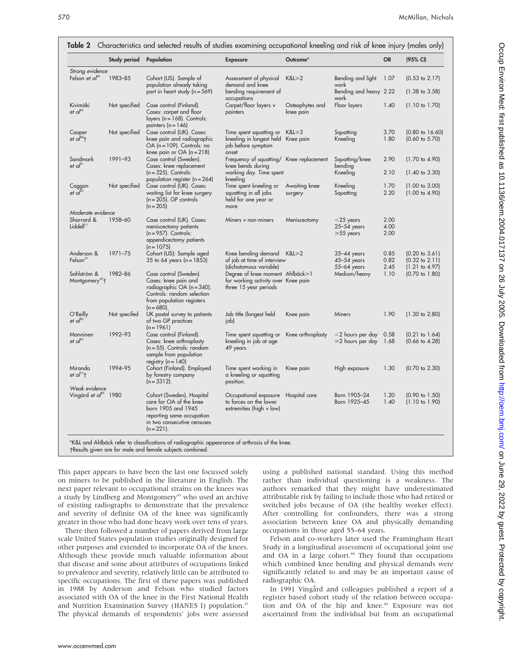|                                           | Study period  | Population                                                                                                                                                   | <b>Exposure</b>                                                                                          | Outcome*                     |                                                     | <b>OR</b>            | (95% CI)                                                                     |
|-------------------------------------------|---------------|--------------------------------------------------------------------------------------------------------------------------------------------------------------|----------------------------------------------------------------------------------------------------------|------------------------------|-----------------------------------------------------|----------------------|------------------------------------------------------------------------------|
| Strong evidence                           |               |                                                                                                                                                              |                                                                                                          |                              |                                                     |                      |                                                                              |
| Felson et al <sup>44</sup>                | 1983-85       | Cohort (US). Sample of<br>population already taking<br>part in heart study ( $n = 569$ )                                                                     | Assessment of physical<br>demand and knee<br>bending requirement of                                      | $K&L\geqslant 2$             | Bending and light<br>work<br>Bending and heavy 2.22 | 1.07                 | $(0.53 \text{ to } 2.17)$<br>$(1.38 \text{ to } 3.58)$                       |
|                                           |               |                                                                                                                                                              | occupations                                                                                              |                              | work                                                |                      |                                                                              |
| Kivimäki<br>$et$ $a^{\mu \sigma}$         | Not specified | Case control (Finland).<br>Cases: carpet and floor<br>layers ( $n = 168$ ). Controls:<br>painters $(n = 146)$                                                | Carpet/floor layers v<br>painters                                                                        | Osteophytes and<br>knee pain | Floor layers                                        | 1.40                 | $(1.10 \text{ to } 1.70)$                                                    |
| Cooper<br>$et$ $a^{\mu_8}$ +              | Not specified | Case control (UK). Cases:<br>knee pain and radiographic<br>OA (n = 109). Controls: no<br>knee pain or $OA (n = 218)$                                         | Time spent squatting or $K&L\geq 3$<br>kneeling in longest held Knee pain<br>job before symptom<br>onset |                              | Squatting<br>Kneeling                               | 3.70<br>1.80         | $(0.80 \text{ to } 16.60)$<br>$(0.60 \text{ to } 5.70)$                      |
| Sandmark<br>$et$ $a51$                    | 1991-93       | Case control (Sweden).<br>Cases: knee replacement                                                                                                            | Frequency of squatting/ Knee replacement<br>knee bends during                                            |                              | Squatting/knee<br>bending                           | 2.90                 | $(1.70 \text{ to } 4.90)$                                                    |
|                                           |               | $(n=325)$ . Controls:<br>population register ( $n = 264$ )                                                                                                   | working day. Time spent<br>kneeling                                                                      |                              | Kneeling                                            | 2.10                 | $(1.40 \text{ to } 3.30)$                                                    |
| Coggon<br>$et$ $a^{p2}$                   | Not specified | Case control (UK). Cases:<br>waiting list for knee surgery<br>$(n = 205)$ . GP controls<br>$(n = 205)$                                                       | Time spent kneeling or<br>squatting in all jobs<br>held for one year or<br>more                          | Awaiting knee<br>surgery     | Kneeling<br>Squatting                               | 1.70<br>2.20         | $(1.00 \text{ to } 3.00)$<br>(1.00 to 4.90)                                  |
| Moderate evidence                         |               |                                                                                                                                                              |                                                                                                          |                              |                                                     |                      |                                                                              |
| Sharrard &<br>Liddell <sup>11</sup>       | 1958-60       | Case control (UK). Cases:<br>meniscectomy patients<br>$(n = 957)$ . Controls:<br>appendicectomy patients<br>$(n = 1075)$                                     | Miners v non-miners                                                                                      | Meniscectomy                 | $<$ 25 years<br>$25 - 54$ years<br>$\geq 55$ years  | 2.00<br>4.00<br>2.00 |                                                                              |
| Anderson &<br>Felson <sup>27</sup>        | 1971-75       | Cohort (US): Sample aged<br>35 to 64 years (n = $1853$ )                                                                                                     | Knee bending demand<br>of job at time of interview<br>(dichotomous variable)                             | $K&L\geqslant 2$             | $35 - 44$ years<br>$45 - 54$ years<br>55-64 years   | 0.85<br>0.82<br>2.45 | $(0.20 \text{ to } 3.61)$<br>$(0.32 \text{ to } 2.11)$<br>$(1.21$ to $4.97)$ |
| Sahlström &<br>Montgomery <sup>49</sup> t | 1982-86       | Case control (Sweden).<br>Cases: knee pain and<br>radiographic OA ( $n = 340$ ).<br>Controls: random selection<br>from population registers<br>$(n = 680)$ . | Degree of knee moment Ahlbäck≥1<br>for working activity over Knee pain<br>three 15 year periods          |                              | Medium/heavy                                        | 1.10                 | $(0.70 \text{ to } 1.80)$                                                    |
| O'Reilly<br>$et$ $af0$                    | Not specifed  | UK postal survey to patients<br>of two GP practices<br>$(n = 1961)$                                                                                          | Job title (longest held<br>job)                                                                          | Knee pain                    | Miners                                              | 1.90                 | $(1.30 \text{ to } 2.80)$                                                    |
| Manninen<br>$et$ $a^{53}$                 | 1992-93       | Case control (Finland).<br>Cases: knee arthroplasty<br>$(n=55)$ . Controls: random<br>sample from population<br>registry (n = $140$ )                        | Time spent squatting or Knee arthroplasty<br>kneeling in job at age<br>49 years                          |                              | $<$ 2 hours per day<br>$\geq 2$ hours per day       | 0.58<br>1.68         | $(0.21$ to $1.64)$<br>$(0.66 \text{ to } 4.28)$                              |
| Miranda<br>et al <sup>17</sup> $\dagger$  | 1994-95       | Cohort (Finland). Employed<br>by forestry company<br>$(n=3312).$                                                                                             | Time spent working in<br>a kneeling or squatting<br>position.                                            | Knee pain                    | High exposure                                       | 1.30                 | $(0.70 \text{ to } 2.30)$                                                    |
| Weak evidence                             |               |                                                                                                                                                              |                                                                                                          |                              |                                                     |                      |                                                                              |
| Vingård et al <sup>45</sup> 1980          |               | Cohort (Sweden). Hospital<br>care for OA of the knee<br>born 1905 and 1945                                                                                   | Occupational exposure Hospital care<br>to forces on the lower<br>extremities (high v low)                |                              | Born 1905-24<br>Born 1925-45                        | 1.20<br>1.40         | $(0.90 \text{ to } 1.50)$<br>$(1.10 \text{ to } 1.90)$                       |
|                                           |               | reporting same occupation<br>in two consecutive censuses<br>$(n=221)$ .                                                                                      |                                                                                                          |                              |                                                     |                      |                                                                              |

This paper appears to have been the last one focussed solely on miners to be published in the literature in English. The next paper relevant to occupational strains on the knees was a study by Lindberg and Montgomery<sup>43</sup> who used an archive of existing radiographs to demonstrate that the prevalence and severity of definite OA of the knee was significantly greater in those who had done heavy work over tens of years.

There then followed a number of papers derived from large scale United States population studies originally designed for other purposes and extended to incorporate OA of the knees. Although these provide much valuable information about that disease and some about attributes of occupations linked to prevalence and severity, relatively little can be attributed to specific occupations. The first of these papers was published in 1988 by Anderson and Felson who studied factors associated with OA of the knee in the First National Health and Nutrition Examination Survey (HANES I) population.<sup>27</sup> The physical demands of respondents' jobs were assessed using a published national standard. Using this method rather than individual questioning is a weakness. The authors remarked that they might have underestimated attributable risk by failing to include those who had retired or switched jobs because of OA (the healthy worker effect). After controlling for confounders, there was a strong association between knee OA and physically demanding occupations in those aged 55–64 years.

Felson and co-workers later used the Framingham Heart Study in a longitudinal assessment of occupational joint use and OA in a large cohort.<sup>44</sup> They found that occupations which combined knee bending and physical demands were significantly related to and may be an important cause of radiographic OA.

In 1991 Vingård and colleagues published a report of a register based cohort study of the relation between occupation and OA of the hip and knee.<sup>45</sup> Exposure was not ascertained from the individual but from an occupational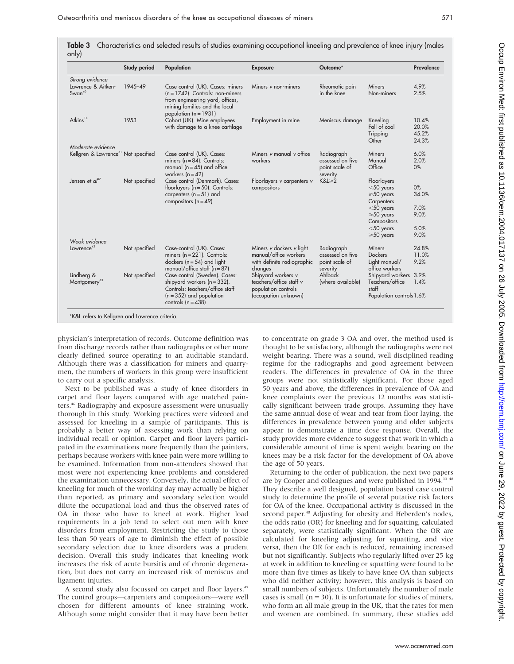|                                                 | Study period  | Population                                                                                                                                                               | <b>Exposure</b>                                | Outcome*                                                     |                                               | Prevalence                       |
|-------------------------------------------------|---------------|--------------------------------------------------------------------------------------------------------------------------------------------------------------------------|------------------------------------------------|--------------------------------------------------------------|-----------------------------------------------|----------------------------------|
| Strong evidence                                 |               |                                                                                                                                                                          |                                                |                                                              |                                               |                                  |
| Lawrence & Aitken-<br>Swan <sup>40</sup>        | 1945-49       | Case control (UK). Cases: miners<br>$(n = 1742)$ . Controls: non-miners<br>from engineering yard, offices,<br>mining families and the local<br>population ( $n = 1931$ ) | Miners v non-miners                            | Rheumatic pain<br>in the knee                                | <b>Miners</b><br>Non-miners                   | 4.9%<br>2.5%                     |
| Atkins <sup>14</sup>                            | 1953          | Cohort (UK). Mine employees<br>with damage to a knee cartilage                                                                                                           | Employment in mine                             | Meniscus damage                                              | Kneeling<br>Fall of coal<br>Tripping<br>Other | 10.4%<br>20.0%<br>45.2%<br>24.3% |
| Moderate evidence                               |               |                                                                                                                                                                          |                                                |                                                              |                                               |                                  |
| Kellgren & Lawrence <sup>41</sup> Not specified |               | Case control (UK). Cases:<br>miners ( $n = 84$ ). Controls:<br>manual ( $n = 45$ ) and office<br>workers $(n = 42)$                                                      | Miners v manual v office<br>workers            | Radiograph<br>assessed on five<br>point scale of<br>severity | Miners<br>Manual<br>Office                    | 6.0%<br>2.0%<br>0%               |
| Jensen et $a^{\mu\nu}$                          | Not specified | Case control (Denmark). Cases:                                                                                                                                           | Floorlayers v carpenters v                     | $K8L \geq 2$                                                 | Floorlayers                                   |                                  |
|                                                 |               | floorlayers ( $n = 50$ ). Controls:                                                                                                                                      | compositors                                    |                                                              | $<$ 50 years                                  | 0%                               |
|                                                 |               | carpenters $(n = 51)$ and                                                                                                                                                |                                                |                                                              | $\geq 50$ years                               | 34.0%                            |
|                                                 |               | compositors $(n = 49)$                                                                                                                                                   |                                                |                                                              | Carpenters                                    |                                  |
|                                                 |               |                                                                                                                                                                          |                                                |                                                              | $<$ 50 years                                  | 7.0%                             |
|                                                 |               |                                                                                                                                                                          |                                                |                                                              | $\geq 50$ years                               | 9.0%                             |
|                                                 |               |                                                                                                                                                                          |                                                |                                                              | Compositors<br>$<$ 50 years                   | 5.0%                             |
|                                                 |               |                                                                                                                                                                          |                                                |                                                              | $\geq 50$ years                               | 9.0%                             |
| Weak evidence                                   |               |                                                                                                                                                                          |                                                |                                                              |                                               |                                  |
| Lawrence <sup>42</sup>                          | Not specified | Case-control (UK). Cases:                                                                                                                                                | Miners v dockers v light                       | Radiograph                                                   | <b>Miners</b>                                 | 24.8%                            |
|                                                 |               | miners $(n = 221)$ . Controls:                                                                                                                                           | manual/office workers                          | assessed on five                                             | <b>Dockers</b>                                | 11.0%                            |
|                                                 |               | dockers ( $n = 54$ ) and light                                                                                                                                           | with definite radiographic                     | point scale of                                               | Light manual/                                 | 9.2%                             |
|                                                 |               | manual/office staff $(n = 87)$                                                                                                                                           | changes                                        | severity                                                     | office workers                                |                                  |
| Lindberg &<br>Montgomery <sup>43</sup>          | Not specified | Case control (Sweden). Cases:                                                                                                                                            | Shipyard workers v                             | Ahlback                                                      | Shipyard workers 3.9%                         |                                  |
|                                                 |               | shipyard workers $(n = 332)$ .<br>Controls: teachers/office staff                                                                                                        | teachers/office staff v<br>population controls | (where available)                                            | Teachers/office<br>staff                      | 1.4%                             |
|                                                 |               | $(n = 352)$ and population<br>controls $(n = 438)$                                                                                                                       | (occupation unknown)                           |                                                              | Population controls 1.6%                      |                                  |

Table 3 Characteristics and selected results of studies examining occupational kneeling and prevalence of knee injury (males

physician's interpretation of records. Outcome definition was from discharge records rather than radiographs or other more clearly defined source operating to an auditable standard. Although there was a classification for miners and quarrymen, the numbers of workers in this group were insufficient to carry out a specific analysis.

Next to be published was a study of knee disorders in carpet and floor layers compared with age matched painters.46 Radiography and exposure assessment were unusually thorough in this study. Working practices were videoed and assessed for kneeling in a sample of participants. This is probably a better way of assessing work than relying on individual recall or opinion. Carpet and floor layers participated in the examinations more frequently than the painters, perhaps because workers with knee pain were more willing to be examined. Information from non-attendees showed that most were not experiencing knee problems and considered the examination unnecessary. Conversely, the actual effect of kneeling for much of the working day may actually be higher than reported, as primary and secondary selection would dilute the occupational load and thus the observed rates of OA in those who have to kneel at work. Higher load requirements in a job tend to select out men with knee disorders from employment. Restricting the study to those less than 50 years of age to diminish the effect of possible secondary selection due to knee disorders was a prudent decision. Overall this study indicates that kneeling work increases the risk of acute bursitis and of chronic degeneration, but does not carry an increased risk of meniscus and ligament injuries.

A second study also focussed on carpet and floor layers.<sup>47</sup> The control groups—carpenters and compositors—were well chosen for different amounts of knee straining work. Although some might consider that it may have been better to concentrate on grade 3 OA and over, the method used is thought to be satisfactory, although the radiographs were not weight bearing. There was a sound, well disciplined reading regime for the radiographs and good agreement between readers. The differences in prevalence of OA in the three groups were not statistically significant. For those aged 50 years and above, the differences in prevalence of OA and knee complaints over the previous 12 months was statistically significant between trade groups. Assuming they have the same annual dose of wear and tear from floor laying, the differences in prevalence between young and older subjects appear to demonstrate a time dose response. Overall, the study provides more evidence to suggest that work in which a considerable amount of time is spent weight bearing on the knees may be a risk factor for the development of OA above the age of 50 years.

Returning to the order of publication, the next two papers are by Cooper and colleagues and were published in 1994.<sup>33</sup> <sup>48</sup> They describe a well designed, population based case control study to determine the profile of several putative risk factors for OA of the knee. Occupational activity is discussed in the second paper.<sup>48</sup> Adjusting for obesity and Heberden's nodes, the odds ratio (OR) for kneeling and for squatting, calculated separately, were statistically significant. When the OR are calculated for kneeling adjusting for squatting, and vice versa, then the OR for each is reduced, remaining increased but not significantly. Subjects who regularly lifted over 25 kg at work in addition to kneeling or squatting were found to be more than five times as likely to have knee OA than subjects who did neither activity; however, this analysis is based on small numbers of subjects. Unfortunately the number of male cases is small ( $n = 30$ ). It is unfortunate for studies of miners, who form an all male group in the UK, that the rates for men and women are combined. In summary, these studies add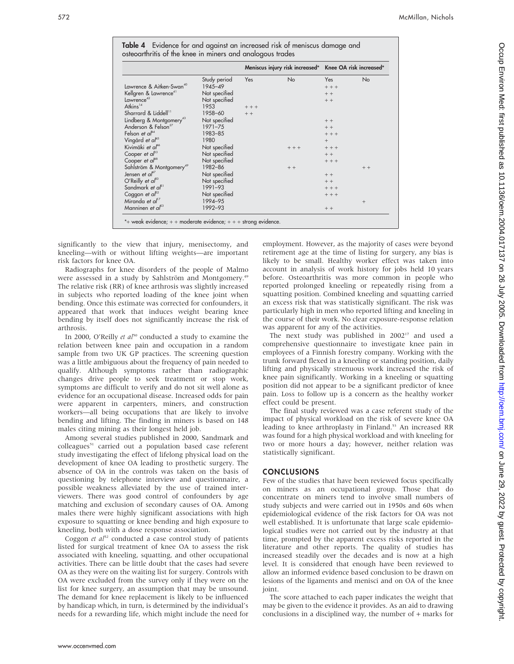|                                      |               |        | Meniscus injury risk increased* Knee OA risk increased* |        |           |
|--------------------------------------|---------------|--------|---------------------------------------------------------|--------|-----------|
|                                      | Study period  | Yes    | <b>No</b>                                               | Yes    | <b>No</b> |
| Lawrence & Aitken-Swan <sup>40</sup> | 1945-49       |        |                                                         | $++ +$ |           |
| Kellgren & Lawrence <sup>41</sup>    | Not specified |        |                                                         | $+ +$  |           |
| Lawrence <sup>42</sup>               | Not specified |        |                                                         | $+ +$  |           |
| Atkins <sup>14</sup>                 | 1953          | $++ +$ |                                                         |        |           |
| Sharrard & Liddell <sup>11</sup>     | 1958-60       | $+ +$  |                                                         |        |           |
| Lindberg & Montgomery <sup>43</sup>  | Not specified |        |                                                         | $+ +$  |           |
| Anderson & Felson <sup>27</sup>      | 1971-75       |        |                                                         | $+ +$  |           |
| Felson et $a^{\mu_4}$                | 1983-85       |        |                                                         | $++ +$ |           |
| Vingård et al <sup>45</sup>          | 1980          |        |                                                         | $^{+}$ |           |
| Kivimäki <i>et al<sup>46</sup></i>   | Not specified |        | $++ +$                                                  | $++ +$ |           |
| Cooper et $a^{\beta 3}$              | Not specified |        |                                                         | $+ +$  |           |
| Cooper et $a^{\mu}$ <sup>8</sup>     | Not specified |        |                                                         | $++ +$ |           |
| Sahlström & Montgomery <sup>49</sup> | 1982-86       |        | $+ +$                                                   |        | $+ +$     |
| Jensen et $a^{\mu}$                  | Not specified |        |                                                         | $+ +$  |           |
| $O'$ Reilly et al <sup>50</sup>      | Not specified |        |                                                         | $+ +$  |           |
| Sandmark et al <sup>51</sup>         | 1991-93       |        |                                                         | $++ +$ |           |
| Coggon et $a^{52}$                   | Not specified |        |                                                         | $++ +$ |           |
| Miranda et $a^{17}$                  | 1994-95       |        |                                                         |        | $^{+}$    |
| Manninen et al $^{53}$               | 1992-93       |        |                                                         | $+ +$  |           |

Table 4 Evidence for and against an increased risk of meniscus damage and osteoarthritis of the knee in miners and analogous trades

significantly to the view that injury, menisectomy, and kneeling—with or without lifting weights—are important risk factors for knee OA.

Radiographs for knee disorders of the people of Malmo were assessed in a study by Sahlström and Montgomery.<sup>49</sup> The relative risk (RR) of knee arthrosis was slightly increased in subjects who reported loading of the knee joint when bending. Once this estimate was corrected for confounders, it appeared that work that induces weight bearing knee bending by itself does not significantly increase the risk of arthrosis.

In 2000, O'Reilly et  $al^{50}$  conducted a study to examine the relation between knee pain and occupation in a random sample from two UK GP practices. The screening question was a little ambiguous about the frequency of pain needed to qualify. Although symptoms rather than radiographic changes drive people to seek treatment or stop work, symptoms are difficult to verify and do not sit well alone as evidence for an occupational disease. Increased odds for pain were apparent in carpenters, miners, and construction workers—all being occupations that are likely to involve bending and lifting. The finding in miners is based on 148 males citing mining as their longest held job.

Among several studies published in 2000, Sandmark and colleagues<sup>51</sup> carried out a population based case referent study investigating the effect of lifelong physical load on the development of knee OA leading to prosthetic surgery. The absence of OA in the controls was taken on the basis of questioning by telephone interview and questionnaire, a possible weakness alleviated by the use of trained interviewers. There was good control of confounders by age matching and exclusion of secondary causes of OA. Among males there were highly significant associations with high exposure to squatting or knee bending and high exposure to kneeling, both with a dose response association.

Coggon et  $a^{152}$  conducted a case control study of patients listed for surgical treatment of knee OA to assess the risk associated with kneeling, squatting, and other occupational activities. There can be little doubt that the cases had severe OA as they were on the waiting list for surgery. Controls with OA were excluded from the survey only if they were on the list for knee surgery, an assumption that may be unsound. The demand for knee replacement is likely to be influenced by handicap which, in turn, is determined by the individual's needs for a rewarding life, which might include the need for employment. However, as the majority of cases were beyond retirement age at the time of listing for surgery, any bias is likely to be small. Healthy worker effect was taken into account in analysis of work history for jobs held 10 years before. Osteoarthritis was more common in people who reported prolonged kneeling or repeatedly rising from a squatting position. Combined kneeling and squatting carried an excess risk that was statistically significant. The risk was particularly high in men who reported lifting and kneeling in the course of their work. No clear exposure-response relation was apparent for any of the activities.

The next study was published in 2002<sup>17</sup> and used a comprehensive questionnaire to investigate knee pain in employees of a Finnish forestry company. Working with the trunk forward flexed in a kneeling or standing position, daily lifting and physically strenuous work increased the risk of knee pain significantly. Working in a kneeling or squatting position did not appear to be a significant predictor of knee pain. Loss to follow up is a concern as the healthy worker effect could be present.

The final study reviewed was a case referent study of the impact of physical workload on the risk of severe knee OA leading to knee arthroplasty in Finland.<sup>53</sup> An increased RR was found for a high physical workload and with kneeling for two or more hours a day; however, neither relation was statistically significant.

#### **CONCLUSIONS**

Few of the studies that have been reviewed focus specifically on miners as an occupational group. Those that do concentrate on miners tend to involve small numbers of study subjects and were carried out in 1950s and 60s when epidemiological evidence of the risk factors for OA was not well established. It is unfortunate that large scale epidemiological studies were not carried out by the industry at that time, prompted by the apparent excess risks reported in the literature and other reports. The quality of studies has increased steadily over the decades and is now at a high level. It is considered that enough have been reviewed to allow an informed evidence based conclusion to be drawn on lesions of the ligaments and menisci and on OA of the knee joint.

The score attached to each paper indicates the weight that may be given to the evidence it provides. As an aid to drawing conclusions in a disciplined way, the number of + marks for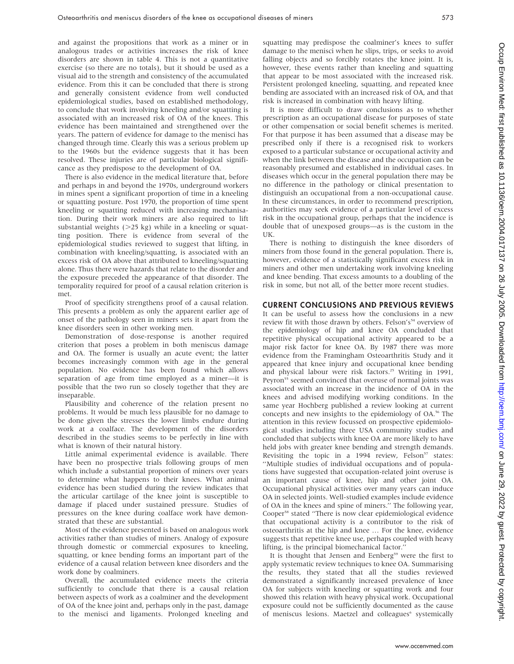and against the propositions that work as a miner or in analogous trades or activities increases the risk of knee disorders are shown in table 4. This is not a quantitative exercise (so there are no totals), but it should be used as a visual aid to the strength and consistency of the accumulated evidence. From this it can be concluded that there is strong and generally consistent evidence from well conducted epidemiological studies, based on established methodology, to conclude that work involving kneeling and/or squatting is associated with an increased risk of OA of the knees. This evidence has been maintained and strengthened over the years. The pattern of evidence for damage to the menisci has changed through time. Clearly this was a serious problem up to the 1960s but the evidence suggests that it has been resolved. These injuries are of particular biological significance as they predispose to the development of OA.

There is also evidence in the medical literature that, before and perhaps in and beyond the 1970s, underground workers in mines spent a significant proportion of time in a kneeling or squatting posture. Post 1970, the proportion of time spent kneeling or squatting reduced with increasing mechanisation. During their work miners are also required to lift substantial weights  $(>=25 \text{ kg})$  while in a kneeling or squatting position. There is evidence from several of the epidemiological studies reviewed to suggest that lifting, in combination with kneeling/squatting, is associated with an excess risk of OA above that attributed to kneeling/squatting alone. Thus there were hazards that relate to the disorder and the exposure preceded the appearance of that disorder. The temporality required for proof of a causal relation criterion is met.

Proof of specificity strengthens proof of a causal relation. This presents a problem as only the apparent earlier age of onset of the pathology seen in miners sets it apart from the knee disorders seen in other working men.

Demonstration of dose-response is another required criterion that poses a problem in both meniscus damage and OA. The former is usually an acute event; the latter becomes increasingly common with age in the general population. No evidence has been found which allows separation of age from time employed as a miner—it is possible that the two run so closely together that they are inseparable.

Plausibility and coherence of the relation present no problems. It would be much less plausible for no damage to be done given the stresses the lower limbs endure during work at a coalface. The development of the disorders described in the studies seems to be perfectly in line with what is known of their natural history.

Little animal experimental evidence is available. There have been no prospective trials following groups of men which include a substantial proportion of miners over years to determine what happens to their knees. What animal evidence has been studied during the review indicates that the articular cartilage of the knee joint is susceptible to damage if placed under sustained pressure. Studies of pressures on the knee during coalface work have demonstrated that these are substantial.

Most of the evidence presented is based on analogous work activities rather than studies of miners. Analogy of exposure through domestic or commercial exposures to kneeling, squatting, or knee bending forms an important part of the evidence of a causal relation between knee disorders and the work done by coalminers.

Overall, the accumulated evidence meets the criteria sufficiently to conclude that there is a causal relation between aspects of work as a coalminer and the development of OA of the knee joint and, perhaps only in the past, damage to the menisci and ligaments. Prolonged kneeling and squatting may predispose the coalminer's knees to suffer damage to the menisci when he slips, trips, or seeks to avoid falling objects and so forcibly rotates the knee joint. It is, however, these events rather than kneeling and squatting that appear to be most associated with the increased risk. Persistent prolonged kneeling, squatting, and repeated knee bending are associated with an increased risk of OA, and that risk is increased in combination with heavy lifting.

It is more difficult to draw conclusions as to whether prescription as an occupational disease for purposes of state or other compensation or social benefit schemes is merited. For that purpose it has been assumed that a disease may be prescribed only if there is a recognised risk to workers exposed to a particular substance or occupational activity and when the link between the disease and the occupation can be reasonably presumed and established in individual cases. In diseases which occur in the general population there may be no difference in the pathology or clinical presentation to distinguish an occupational from a non-occupational cause. In these circumstances, in order to recommend prescription, authorities may seek evidence of a particular level of excess risk in the occupational group, perhaps that the incidence is double that of unexposed groups—as is the custom in the UK.

There is nothing to distinguish the knee disorders of miners from those found in the general population. There is, however, evidence of a statistically significant excess risk in miners and other men undertaking work involving kneeling and knee bending. That excess amounts to a doubling of the risk in some, but not all, of the better more recent studies.

#### CURRENT CONCLUSIONS AND PREVIOUS REVIEWS

It can be useful to assess how the conclusions in a new review fit with those drawn by others. Felson's<sup>54</sup> overview of the epidemiology of hip and knee OA concluded that repetitive physical occupational activity appeared to be a major risk factor for knee OA. By 1987 there was more evidence from the Framingham Osteoarthritis Study and it appeared that knee injury and occupational knee bending and physical labour were risk factors.<sup>25</sup> Writing in 1991, Peyron<sup>55</sup> seemed convinced that overuse of normal joints was associated with an increase in the incidence of OA in the knees and advised modifying working conditions. In the same year Hochberg published a review looking at current concepts and new insights to the epidemiology of OA.56 The attention in this review focussed on prospective epidemiological studies including three USA community studies and concluded that subjects with knee OA are more likely to have held jobs with greater knee bending and strength demands. Revisiting the topic in a 1994 review, Felson<sup>57</sup> states: ''Multiple studies of individual occupations and of populations have suggested that occupation-related joint overuse is an important cause of knee, hip and other joint OA. Occupational physical activities over many years can induce OA in selected joints. Well-studied examples include evidence of OA in the knees and spine of miners.'' The following year, Cooper<sup>58</sup> stated "There is now clear epidemiological evidence that occupational activity is a contributor to the risk of osteoarthritis at the hip and knee … For the knee, evidence suggests that repetitive knee use, perhaps coupled with heavy lifting, is the principal biomechanical factor.''

It is thought that Jensen and Eenberg<sup>59</sup> were the first to apply systematic review techniques to knee OA. Summarising the results, they stated that all the studies reviewed demonstrated a significantly increased prevalence of knee OA for subjects with kneeling or squatting work and four showed this relation with heavy physical work. Occupational exposure could not be sufficiently documented as the cause of meniscus lesions. Maetzel and colleagues<sup>6</sup> systemically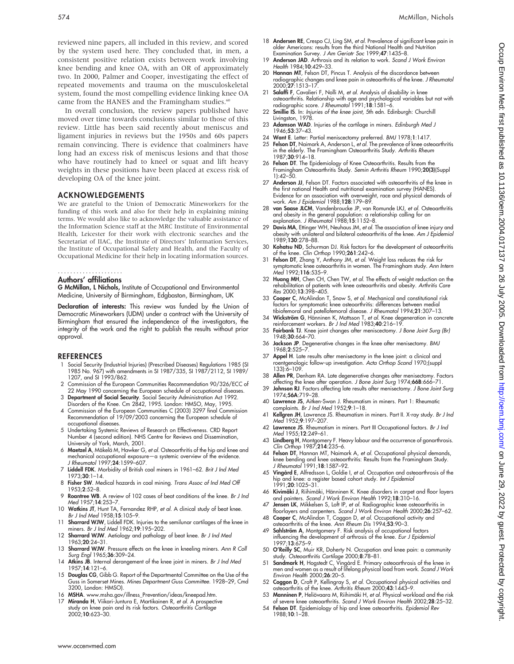reviewed nine papers, all included in this review, and scored by the system used here. They concluded that, in men, a consistent positive relation exists between work involving knee bending and knee OA, with an OR of approximately two. In 2000, Palmer and Cooper, investigating the effect of repeated movements and trauma on the musculoskeletal system, found the most compelling evidence linking knee OA came from the HANES and the Framingham studies.<sup>61</sup>

In overall conclusion, the review papers published have moved over time towards conclusions similar to those of this review. Little has been said recently about meniscus and ligament injuries in reviews but the 1950s and 60s papers remain convincing. There is evidence that coalminers have long had an excess risk of meniscus lesions and that those who have routinely had to kneel or squat and lift heavy weights in these positions have been placed at excess risk of developing OA of the knee joint.

#### ACKNOWLEDGEMENTS

We are grateful to the Union of Democratic Mineworkers for the funding of this work and also for their help in explaining mining terms. We would also like to acknowledge the valuable assistance of the Information Science staff at the MRC Institute of Environmental Health, Leicester for their work with electronic searches and the Secretariat of IIAC, the Institute of Directors' Information Services, the Institute of Occupational Safety and Health, and the Faculty of Occupational Medicine for their help in locating information sources.

# .....................

#### Authors' affiliations

G McMillan, L Nichols, Institute of Occupational and Environmental Medicine, University of Birmingham, Edgbaston, Birmingham, UK

Declaration of interests: This review was funded by the Union of Democratic Mineworkers (UDM) under a contract with the University of Birmingham that ensured the independence of the investigators, the integrity of the work and the right to publish the results without prior approval.

#### **REFERENCES**

- 1 Social Security (Industrial Injuries) (Prescribed Diseases) Regulations 1985 (SI 1985 No. 967) with amendments in SI 1987/335, SI 1987/2112, SI 1989/ 1207, and SI 1993/862.
- 2 Commission of the European Communities Recommendation 90/326/ECC of 22 May 1990 concerning the European schedule of occupational diseases.
- 3 Department of Social Security. Social Security Administration Act 1992. Disorders of the Knee. Cm 2842, 1995. London: HMSO, May, 1995. 4 Commission of the European Communities C (2003) 3297 final Commission
- Recommendation of 19/09/2003 concerning the European schedule of occupational diseases.
- 5 Undertaking Systemic Reviews of Research on Effectiveness. CRD Report Number 4 (second edition). NHS Centre for Reviews and Dissemination, University of York, March, 2001.
- 6 Maetzel A, Mäkelä M, Hawker G, et al. Osteoarthritis of the hip and knee and mechanical occupational exposure—a systemic overview of the evidence. J Rheumatol 1997;24:1599–607.
- 7 Liddell FDK. Morbidity of British coal miners in 1961–62. Brit J Ind Med 1973;30:1–14.
- 8 Fisher SW. Medical hazards in coal mining. Trans Assoc of Ind Med Off 1953;2:52–8.
- 9 **Roantree WB**. A review of 102 cases of beat conditions of the knee. Br J Ind Med 1957;14:253–7.
- 10 Watkins JT, Hunt TA, Fernandez RHP, et al. A clinical study of beat knee. Br J Ind Med 1958;15:105–9.
- 11 Sharrard WJW, Liddell FDK. Injuries to the semilunar cartilages of the knee in miners. Br J Ind Med 1962;19:195–202.
- 12 Sharrard WJW. Aetiology and pathology of beat knee. Br J Ind Med 1963;20:24–31.
- 13 Sharrard WJW. Pressure effects on the knee in kneeling miners. Ann R Coll Surg Engl 1965;36:309–24.
- 14 Atkins JB. Internal derangement of the knee joint in miners. Br J Ind Med 1957;14:121–6.
- 15 Douglas CG, Gibb G. Report of the Departmental Committee on the Use of the Guss in Somerset Mines. Mines Department Guss Committee. 1928–29, Cmd 3200, London: HMSO).
- 16 MSHA. www.msha.gov/illness\_Prevention/ideas/kneepad.htm.
- 17 Miranda H, Viikari-Juntura E, Martikainen R, et al. A prospective study on knee pain and its risk factors. *Osteoarthritis Cartilage*<br>2002;**10**:623–30.
- 18 Andersen RE, Crespo CJ, Ling SM, et al. Prevalence of significant knee pain in older Americans: results from the third National Health and Nutrition
- Examination Survey. J Am Geriatr Soc 1999;**47**:1435–8.<br>19 **Anderson JAD**. Arthrosis and its relation to work. Scand J Work Environ Health 1984;10:429–33.
- 20 Hannan MT, Felson DT, Pincus T. Analysis of the discordance between radiographic changes and knee pain in osteoarthritis of the knee. J Rheumatol 2000;27:1513–17.
- 21 Salaffi F, Cavalieri F, Nolli M, et al. Analysis of disability in knee osteoarthritis. Relationship with age and psychological variables but not with radiographic score. J Rheumatol 1991;18:1581–6.
- 22 **Smillie IS**. In: *Injuries of the knee joint, 5t*h edn. Edinburgh: Churchill<br>Livingston, 1978.
- 23 Adamson WAD. Injuries of the cartilage in miners. Edinburgh Med J 1946;53:37–43.
- 24 Want E. Letter: Partial meniscectomy preferred. BMJ 1978;1:1417.
- 25 Felson DT, Naimark A, Anderson L, et al. The prevalence of knee osteoarthritis in the elderly. The Framingham Osteoarthritis Study. Arthritis Rheum 1987;30:914–18.
- 26 Felson DT. The Epidemiology of Knee Osteoarthritis. Results from the Framingham Osteoarthritis Study. Semin Arthritis Rheum 1990;20(3)(Suppl  $1$ :42–50.
- 27 Anderson JJ, Felson DT. Factors associated with osteoarthritis of the knee in the first national Health and nutritional examination survey (HANES). Evidence for an association with overweight, race and physical demands of work. Am J Epidemiol 1988;128:179-89.
- 28 van Saase JLCM, Vandenbroucke JP, van Romunde LKJ, et al. Osteoarthritis and obesity in the general population: a relationship calling for an explanation. J Rheumatol 1988;15:1152-8.
- 29 Davis MA, Ettinger WH, Neuhaus JM, et al. The association of knee injury and obesity with unilateral and bilateral osteoarthritis of the knee. Am J Epidemiol 1989;130:278–88.
- 30 **Kohatsu ND**, Schurman DJ. Risk factors for the development of osteoarthritis<br>of the knee. *Clin Orthop* 1990;**261**:242–6.<br>31 **Felson DT**, Zhang Y, Anthony JM, *et al.* Weight loss reduces the risk for
- symptomatic knee osteoarthritis in women. The Framingham study. Ann Intern Med 1992;116:535–9.
- 32 Huang MH, Chen CH, Chen TW, et al. The effects of weight reduction on the rehabilitation of patients with knee osteoarthritis and obesity. Arthritis Care Res 2000;13:398–405.
- 33 Cooper C, McAlindon T, Snow S, et al. Mechanical and constitutional risk factors for symptomatic knee osteoarthritis: differences between medial tibiofemoral and patellofemoral disease. J Rheumatol 1994;21:307–13.
- 34 Wickström G, Hänninen K, Mattsson T, et al. Knee degeneration in concrete reinforcement workers. Br J Ind Med 1983;40:216-19.
- 35 Fairbank TJ. Knee joint changes after meniscectomy. J Bone Joint Surg (Br) 1948;30:664–70. 36 Jackson JP. Degenerative changes in the knee after menisectomy. BMJ
- 1968;2:525–7.
- 37 Appel H. Late results after menisectomy in the knee joint: a clinical and roentgenologic follow-up investigation. Acta Orthop Scand 1970;(suppl 133):6–109.
- 38 Allen PR, Denham RA. Late degenerative changes after menisectomy. Factors affecting the knee after operation. J Bone Joint Surg 1974;66B:666-71.
- 39 Johnson RJ. Factors affecting late results after menisectomy. J Bone Joint Surg 1974;56A:719–28.
- 40 Lawrence JS, Aitken-Swan J. Rheumatism in miners. Part 1: Rheumatic complaints. Br J Ind Med 1952;9:1-18.
- 41 Kellgren JH, Lawrence JS. Rheumatism in miners. Part II. X-ray study. Br J Ind Med 1952;9:197–207.
- 42 Lawrence JS. Rheumatism in miners. Part III Occupational factors. Br J Ind Med 1955;12:249–61.
- 43 Lindberg H, Montgomery F. Heavy labour and the occurrence of gonarthrosis. Clin Orthop 1987;214:235–6.
- 44 Felson DT, Hannan MT, Naimark A, et al. Occupational physical demands, knee bending and knee osteoarthritis: Results from the Framingham Study. J Rheumatol 1991;18:1587–92.
- 45 Vingård E, Alfredsson L, Goldie I, et al. Occupation and osteoarthrosis of the hip and knee: a register based cohort study. Int J Epidemiol 1991;20:1025–31.
- 46 Kivimäki J, Riihimäki, Hänninen K. Knee disorders in carpet and floor layers and painters. Scand J Work Environ Health 1992;18:310–16.
- 47 Jensen LK, Mikkelsen S, Loft IP, et al. Radiographic knee osteoarthritis in floorlayers and carpenters. Scand J Work Environ Health 2000;26:257–62.
- 48 Cooper C, McAlindon T, Coggon D, et al. Occupational activity and osteoarthritis of the knee. Ann Rheum Dis 1994;53:90–3.
- 49 Sahlström A, Montgomery F. Risk analysis of occupational factors influencing the development of arthrosis of the knee. Eur J Epidemiol 1997;13:675–9.
- 50 O'Reilly SC, Muir KR, Doherty N. Occupation and knee pain: a community study. Osteoarthritis Cartilage 2000;8:78–81.
- 51 **Sandmark H**, Hogstedt C, Vingård E. Primary osteoarthrosis of the knee in<br>men and women as a result of lifelong physical load from work. *Scand J Work* Environ Health 2000;26:20–5.
- 52 Coggon D, Croft P, Kellingray S, et al. Occupational physical activities and osteoarthritis of the knee. Arthritis Rheum 2000;43:1443–9.
- 53 Manninen P, Heliövaara M, Riihimäki H, et al. Physical workload and the risk of severe knee osteoarthritis. Scand J Work Environ Health 2002;28:25–32.
- 54 Felson DT. Epidemiology of hip and knee osteoarthritis. Epidemiol Rev 1988;10:1–28.